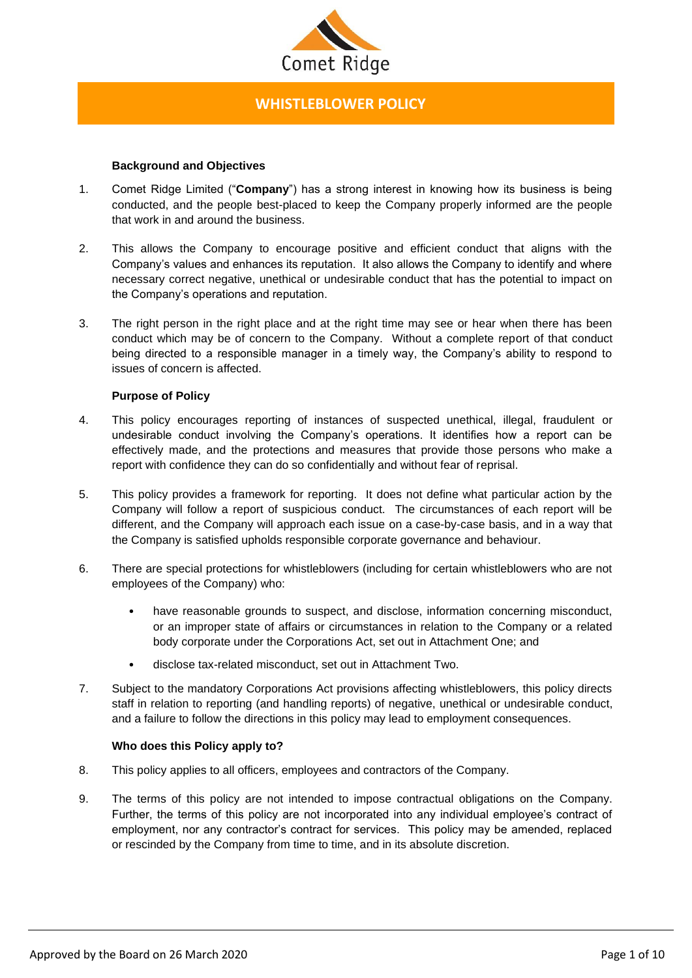

# **WHISTLEBLOWER POLICY**

# **Background and Objectives**

- 1. Comet Ridge Limited ("**Company**") has a strong interest in knowing how its business is being conducted, and the people best-placed to keep the Company properly informed are the people that work in and around the business.
- 2. This allows the Company to encourage positive and efficient conduct that aligns with the Company's values and enhances its reputation. It also allows the Company to identify and where necessary correct negative, unethical or undesirable conduct that has the potential to impact on the Company's operations and reputation.
- 3. The right person in the right place and at the right time may see or hear when there has been conduct which may be of concern to the Company. Without a complete report of that conduct being directed to a responsible manager in a timely way, the Company's ability to respond to issues of concern is affected.

# **Purpose of Policy**

- 4. This policy encourages reporting of instances of suspected unethical, illegal, fraudulent or undesirable conduct involving the Company's operations. It identifies how a report can be effectively made, and the protections and measures that provide those persons who make a report with confidence they can do so confidentially and without fear of reprisal.
- 5. This policy provides a framework for reporting. It does not define what particular action by the Company will follow a report of suspicious conduct. The circumstances of each report will be different, and the Company will approach each issue on a case-by-case basis, and in a way that the Company is satisfied upholds responsible corporate governance and behaviour.
- 6. There are special protections for whistleblowers (including for certain whistleblowers who are not employees of the Company) who:
	- have reasonable grounds to suspect, and disclose, information concerning misconduct, or an improper state of affairs or circumstances in relation to the Company or a related body corporate under the Corporations Act, set out in Attachment One; and
	- disclose tax-related misconduct, set out in Attachment Two.
- 7. Subject to the mandatory Corporations Act provisions affecting whistleblowers, this policy directs staff in relation to reporting (and handling reports) of negative, unethical or undesirable conduct, and a failure to follow the directions in this policy may lead to employment consequences.

## **Who does this Policy apply to?**

- 8. This policy applies to all officers, employees and contractors of the Company.
- 9. The terms of this policy are not intended to impose contractual obligations on the Company. Further, the terms of this policy are not incorporated into any individual employee's contract of employment, nor any contractor's contract for services. This policy may be amended, replaced or rescinded by the Company from time to time, and in its absolute discretion.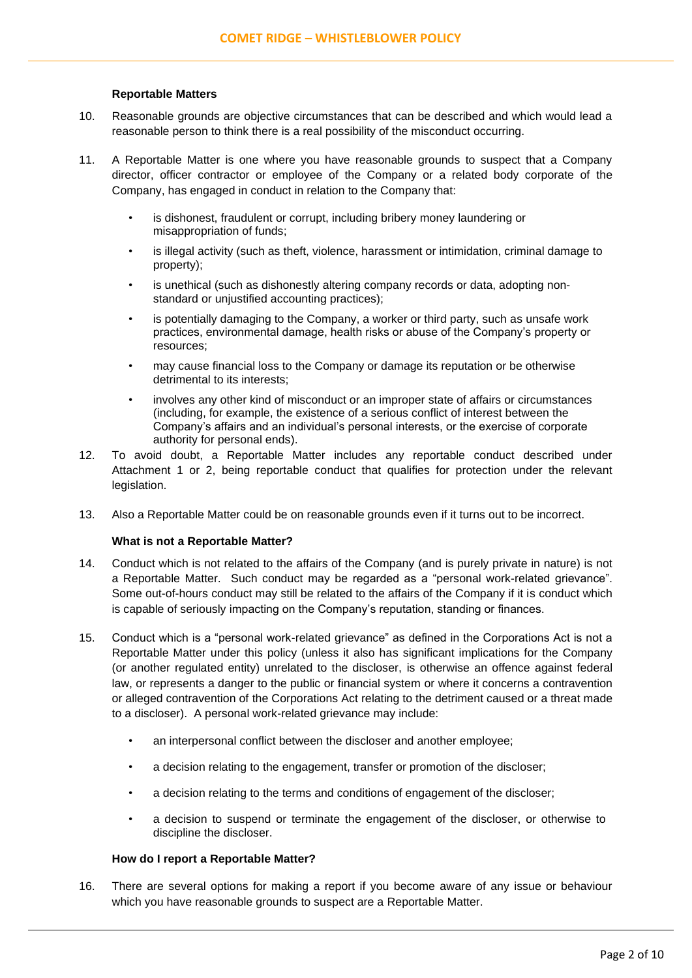# **Reportable Matters**

- 10. Reasonable grounds are objective circumstances that can be described and which would lead a reasonable person to think there is a real possibility of the misconduct occurring.
- 11. A Reportable Matter is one where you have reasonable grounds to suspect that a Company director, officer contractor or employee of the Company or a related body corporate of the Company, has engaged in conduct in relation to the Company that:
	- is dishonest, fraudulent or corrupt, including bribery money laundering or misappropriation of funds;
	- is illegal activity (such as theft, violence, harassment or intimidation, criminal damage to property);
	- is unethical (such as dishonestly altering company records or data, adopting nonstandard or unjustified accounting practices);
	- is potentially damaging to the Company, a worker or third party, such as unsafe work practices, environmental damage, health risks or abuse of the Company's property or resources;
	- may cause financial loss to the Company or damage its reputation or be otherwise detrimental to its interests;
	- involves any other kind of misconduct or an improper state of affairs or circumstances (including, for example, the existence of a serious conflict of interest between the Company's affairs and an individual's personal interests, or the exercise of corporate authority for personal ends).
- 12. To avoid doubt, a Reportable Matter includes any reportable conduct described under Attachment 1 or 2, being reportable conduct that qualifies for protection under the relevant legislation.
- 13. Also a Reportable Matter could be on reasonable grounds even if it turns out to be incorrect.

## **What is not a Reportable Matter?**

- 14. Conduct which is not related to the affairs of the Company (and is purely private in nature) is not a Reportable Matter. Such conduct may be regarded as a "personal work-related grievance". Some out-of-hours conduct may still be related to the affairs of the Company if it is conduct which is capable of seriously impacting on the Company's reputation, standing or finances.
- 15. Conduct which is a "personal work-related grievance" as defined in the Corporations Act is not a Reportable Matter under this policy (unless it also has significant implications for the Company (or another regulated entity) unrelated to the discloser, is otherwise an offence against federal law, or represents a danger to the public or financial system or where it concerns a contravention or alleged contravention of the Corporations Act relating to the detriment caused or a threat made to a discloser). A personal work-related grievance may include:
	- an interpersonal conflict between the discloser and another employee;
	- a decision relating to the engagement, transfer or promotion of the discloser;
	- a decision relating to the terms and conditions of engagement of the discloser;
	- a decision to suspend or terminate the engagement of the discloser, or otherwise to discipline the discloser.

## **How do I report a Reportable Matter?**

16. There are several options for making a report if you become aware of any issue or behaviour which you have reasonable grounds to suspect are a Reportable Matter.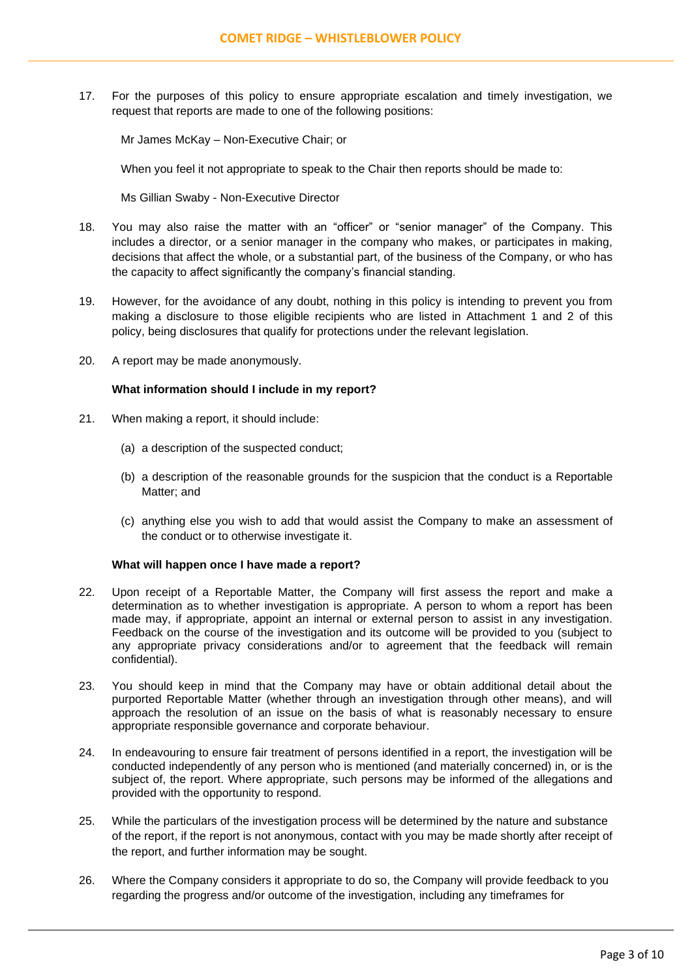17. For the purposes of this policy to ensure appropriate escalation and timely investigation, we request that reports are made to one of the following positions:

Mr James McKay – Non-Executive Chair; or

When you feel it not appropriate to speak to the Chair then reports should be made to:

Ms Gillian Swaby - Non-Executive Director

- 18. You may also raise the matter with an "officer" or "senior manager" of the Company. This includes a director, or a senior manager in the company who makes, or participates in making, decisions that affect the whole, or a substantial part, of the business of the Company, or who has the capacity to affect significantly the company's financial standing.
- 19. However, for the avoidance of any doubt, nothing in this policy is intending to prevent you from making a disclosure to those eligible recipients who are listed in Attachment 1 and 2 of this policy, being disclosures that qualify for protections under the relevant legislation.
- 20. A report may be made anonymously.

## **What information should I include in my report?**

- 21. When making a report, it should include:
	- (a) a description of the suspected conduct;
	- (b) a description of the reasonable grounds for the suspicion that the conduct is a Reportable Matter; and
	- (c) anything else you wish to add that would assist the Company to make an assessment of the conduct or to otherwise investigate it.

# **What will happen once I have made a report?**

- 22. Upon receipt of a Reportable Matter, the Company will first assess the report and make a determination as to whether investigation is appropriate. A person to whom a report has been made may, if appropriate, appoint an internal or external person to assist in any investigation. Feedback on the course of the investigation and its outcome will be provided to you (subject to any appropriate privacy considerations and/or to agreement that the feedback will remain confidential).
- 23. You should keep in mind that the Company may have or obtain additional detail about the purported Reportable Matter (whether through an investigation through other means), and will approach the resolution of an issue on the basis of what is reasonably necessary to ensure appropriate responsible governance and corporate behaviour.
- 24. In endeavouring to ensure fair treatment of persons identified in a report, the investigation will be conducted independently of any person who is mentioned (and materially concerned) in, or is the subject of, the report. Where appropriate, such persons may be informed of the allegations and provided with the opportunity to respond.
- 25. While the particulars of the investigation process will be determined by the nature and substance of the report, if the report is not anonymous, contact with you may be made shortly after receipt of the report, and further information may be sought.
- 26. Where the Company considers it appropriate to do so, the Company will provide feedback to you regarding the progress and/or outcome of the investigation, including any timeframes for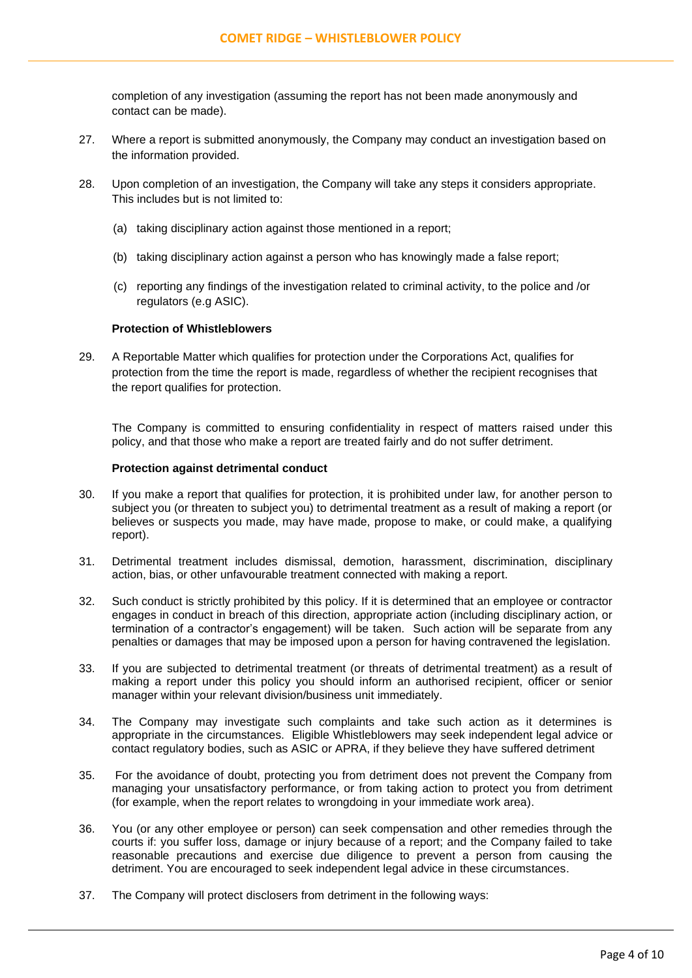completion of any investigation (assuming the report has not been made anonymously and contact can be made).

- 27. Where a report is submitted anonymously, the Company may conduct an investigation based on the information provided.
- 28. Upon completion of an investigation, the Company will take any steps it considers appropriate. This includes but is not limited to:
	- (a) taking disciplinary action against those mentioned in a report;
	- (b) taking disciplinary action against a person who has knowingly made a false report;
	- (c) reporting any findings of the investigation related to criminal activity, to the police and /or regulators (e.g ASIC).

#### **Protection of Whistleblowers**

29. A Reportable Matter which qualifies for protection under the Corporations Act, qualifies for protection from the time the report is made, regardless of whether the recipient recognises that the report qualifies for protection.

The Company is committed to ensuring confidentiality in respect of matters raised under this policy, and that those who make a report are treated fairly and do not suffer detriment.

#### **Protection against detrimental conduct**

- 30. If you make a report that qualifies for protection, it is prohibited under law, for another person to subject you (or threaten to subject you) to detrimental treatment as a result of making a report (or believes or suspects you made, may have made, propose to make, or could make, a qualifying report).
- 31. Detrimental treatment includes dismissal, demotion, harassment, discrimination, disciplinary action, bias, or other unfavourable treatment connected with making a report.
- 32. Such conduct is strictly prohibited by this policy. If it is determined that an employee or contractor engages in conduct in breach of this direction, appropriate action (including disciplinary action, or termination of a contractor's engagement) will be taken. Such action will be separate from any penalties or damages that may be imposed upon a person for having contravened the legislation.
- 33. If you are subjected to detrimental treatment (or threats of detrimental treatment) as a result of making a report under this policy you should inform an authorised recipient, officer or senior manager within your relevant division/business unit immediately.
- 34. The Company may investigate such complaints and take such action as it determines is appropriate in the circumstances. Eligible Whistleblowers may seek independent legal advice or contact regulatory bodies, such as ASIC or APRA, if they believe they have suffered detriment
- 35. For the avoidance of doubt, protecting you from detriment does not prevent the Company from managing your unsatisfactory performance, or from taking action to protect you from detriment (for example, when the report relates to wrongdoing in your immediate work area).
- 36. You (or any other employee or person) can seek compensation and other remedies through the courts if: you suffer loss, damage or injury because of a report; and the Company failed to take reasonable precautions and exercise due diligence to prevent a person from causing the detriment. You are encouraged to seek independent legal advice in these circumstances.
- 37. The Company will protect disclosers from detriment in the following ways: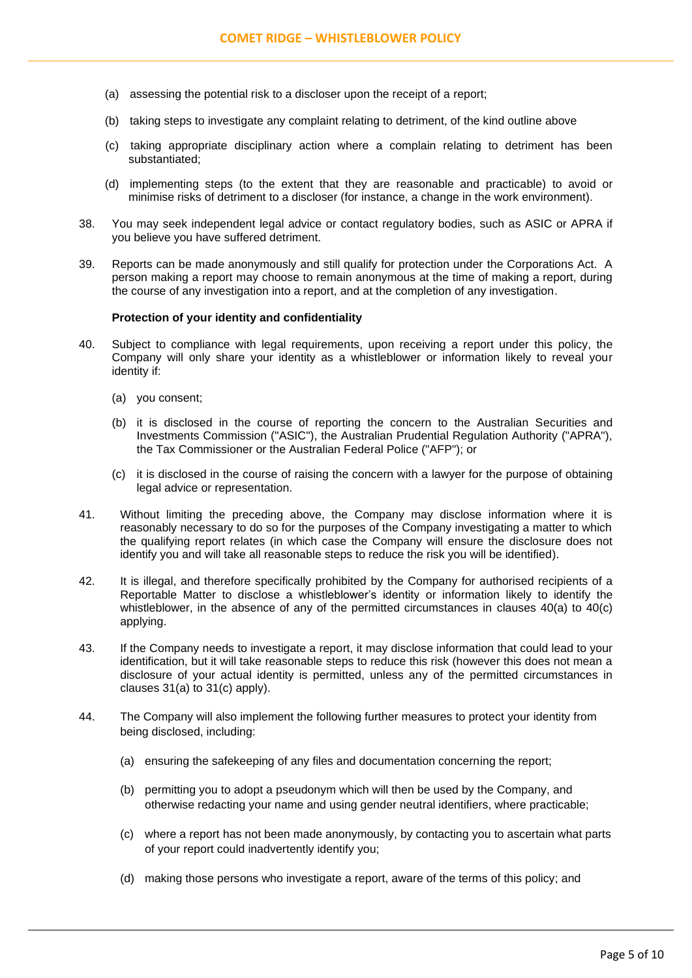- (a) assessing the potential risk to a discloser upon the receipt of a report;
- (b) taking steps to investigate any complaint relating to detriment, of the kind outline above
- (c) taking appropriate disciplinary action where a complain relating to detriment has been substantiated;
- (d) implementing steps (to the extent that they are reasonable and practicable) to avoid or minimise risks of detriment to a discloser (for instance, a change in the work environment).
- 38. You may seek independent legal advice or contact regulatory bodies, such as ASIC or APRA if you believe you have suffered detriment.
- 39. Reports can be made anonymously and still qualify for protection under the Corporations Act. A person making a report may choose to remain anonymous at the time of making a report, during the course of any investigation into a report, and at the completion of any investigation.

#### **Protection of your identity and confidentiality**

- 40. Subject to compliance with legal requirements, upon receiving a report under this policy, the Company will only share your identity as a whistleblower or information likely to reveal your identity if:
	- (a) you consent;
	- (b) it is disclosed in the course of reporting the concern to the Australian Securities and Investments Commission ("ASIC"), the Australian Prudential Regulation Authority ("APRA"), the Tax Commissioner or the Australian Federal Police ("AFP"); or
	- (c) it is disclosed in the course of raising the concern with a lawyer for the purpose of obtaining legal advice or representation.
- 41. Without limiting the preceding above, the Company may disclose information where it is reasonably necessary to do so for the purposes of the Company investigating a matter to which the qualifying report relates (in which case the Company will ensure the disclosure does not identify you and will take all reasonable steps to reduce the risk you will be identified).
- 42. It is illegal, and therefore specifically prohibited by the Company for authorised recipients of a Reportable Matter to disclose a whistleblower's identity or information likely to identify the whistleblower, in the absence of any of the permitted circumstances in clauses 40(a) to 40(c) applying.
- 43. If the Company needs to investigate a report, it may disclose information that could lead to your identification, but it will take reasonable steps to reduce this risk (however this does not mean a disclosure of your actual identity is permitted, unless any of the permitted circumstances in clauses 31(a) to 31(c) apply).
- 44. The Company will also implement the following further measures to protect your identity from being disclosed, including:
	- (a) ensuring the safekeeping of any files and documentation concerning the report;
	- (b) permitting you to adopt a pseudonym which will then be used by the Company, and otherwise redacting your name and using gender neutral identifiers, where practicable;
	- (c) where a report has not been made anonymously, by contacting you to ascertain what parts of your report could inadvertently identify you;
	- (d) making those persons who investigate a report, aware of the terms of this policy; and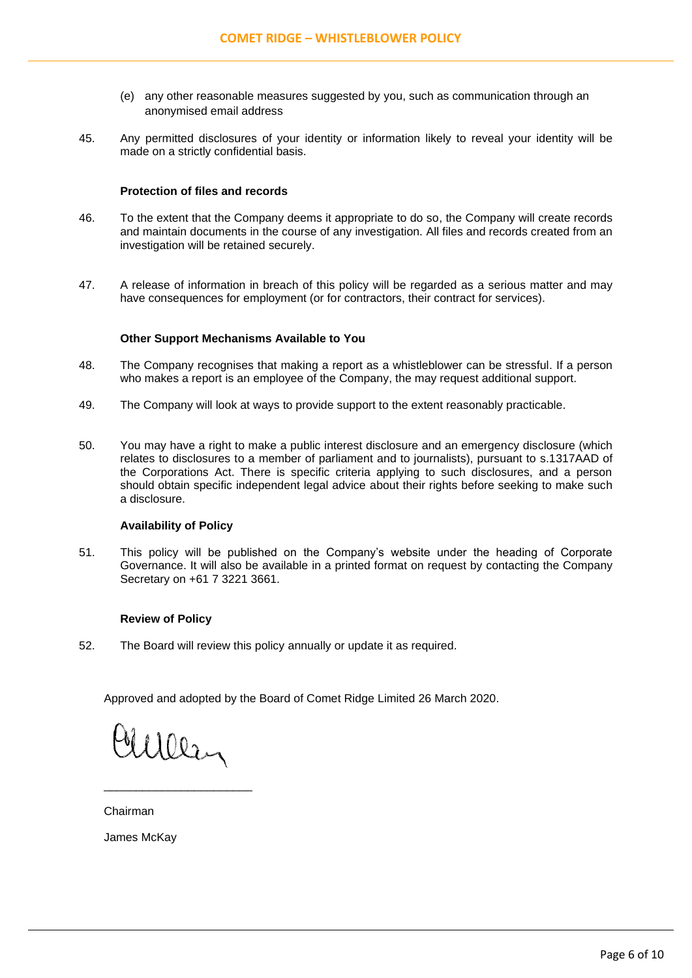- (e) any other reasonable measures suggested by you, such as communication through an anonymised email address
- 45. Any permitted disclosures of your identity or information likely to reveal your identity will be made on a strictly confidential basis.

# **Protection of files and records**

- 46. To the extent that the Company deems it appropriate to do so, the Company will create records and maintain documents in the course of any investigation. All files and records created from an investigation will be retained securely.
- 47. A release of information in breach of this policy will be regarded as a serious matter and may have consequences for employment (or for contractors, their contract for services).

# **Other Support Mechanisms Available to You**

- 48. The Company recognises that making a report as a whistleblower can be stressful. If a person who makes a report is an employee of the Company, the may request additional support.
- 49. The Company will look at ways to provide support to the extent reasonably practicable.
- 50. You may have a right to make a public interest disclosure and an emergency disclosure (which relates to disclosures to a member of parliament and to journalists), pursuant to s.1317AAD of the Corporations Act. There is specific criteria applying to such disclosures, and a person should obtain specific independent legal advice about their rights before seeking to make such a disclosure.

# **Availability of Policy**

51. This policy will be published on the Company's website under the heading of Corporate Governance. It will also be available in a printed format on request by contacting the Company Secretary on +61 7 3221 3661.

## **Review of Policy**

52. The Board will review this policy annually or update it as required.

Approved and adopted by the Board of Comet Ridge Limited 26 March 2020.

Mulley

\_\_\_\_\_\_\_\_\_\_\_\_\_\_\_\_\_\_\_\_\_\_\_

Chairman

James McKay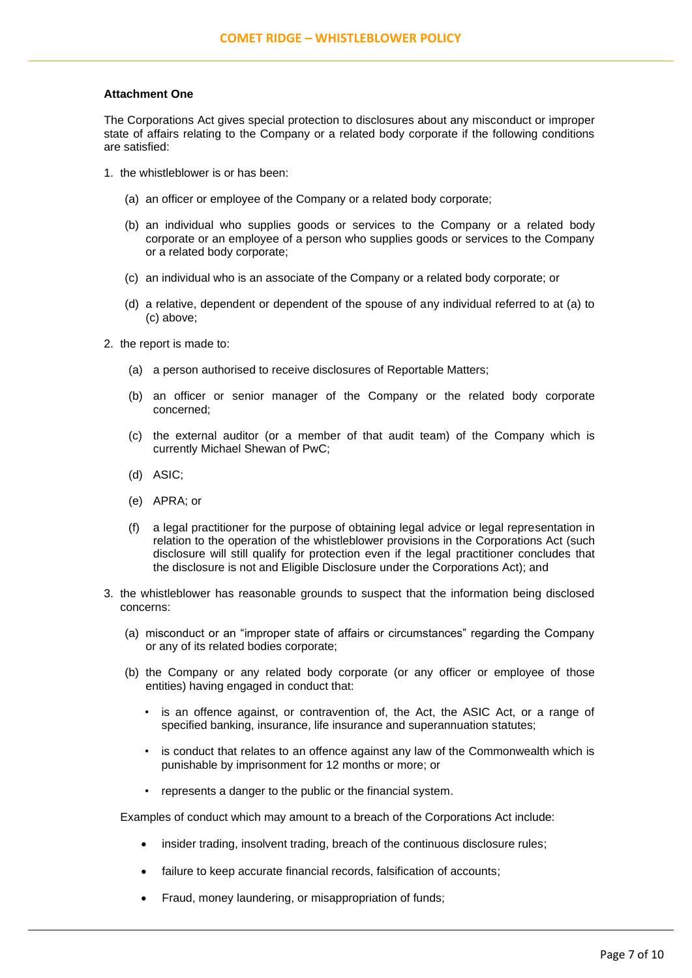## **Attachment One**

The Corporations Act gives special protection to disclosures about any misconduct or improper state of affairs relating to the Company or a related body corporate if the following conditions are satisfied:

- 1. the whistleblower is or has been:
	- (a) an officer or employee of the Company or a related body corporate;
	- (b) an individual who supplies goods or services to the Company or a related body corporate or an employee of a person who supplies goods or services to the Company or a related body corporate;
	- (c) an individual who is an associate of the Company or a related body corporate; or
	- (d) a relative, dependent or dependent of the spouse of any individual referred to at (a) to (c) above;
- 2. the report is made to:
	- (a) a person authorised to receive disclosures of Reportable Matters;
	- (b) an officer or senior manager of the Company or the related body corporate concerned;
	- (c) the external auditor (or a member of that audit team) of the Company which is currently Michael Shewan of PwC;
	- (d) ASIC;
	- (e) APRA; or
	- (f) a legal practitioner for the purpose of obtaining legal advice or legal representation in relation to the operation of the whistleblower provisions in the Corporations Act (such disclosure will still qualify for protection even if the legal practitioner concludes that the disclosure is not and Eligible Disclosure under the Corporations Act); and
- 3. the whistleblower has reasonable grounds to suspect that the information being disclosed concerns:
	- (a) misconduct or an "improper state of affairs or circumstances" regarding the Company or any of its related bodies corporate;
	- (b) the Company or any related body corporate (or any officer or employee of those entities) having engaged in conduct that:
		- is an offence against, or contravention of, the Act, the ASIC Act, or a range of specified banking, insurance, life insurance and superannuation statutes;
		- is conduct that relates to an offence against any law of the Commonwealth which is punishable by imprisonment for 12 months or more; or
		- represents a danger to the public or the financial system.

Examples of conduct which may amount to a breach of the Corporations Act include:

- insider trading, insolvent trading, breach of the continuous disclosure rules;
- failure to keep accurate financial records, falsification of accounts;
- Fraud, money laundering, or misappropriation of funds;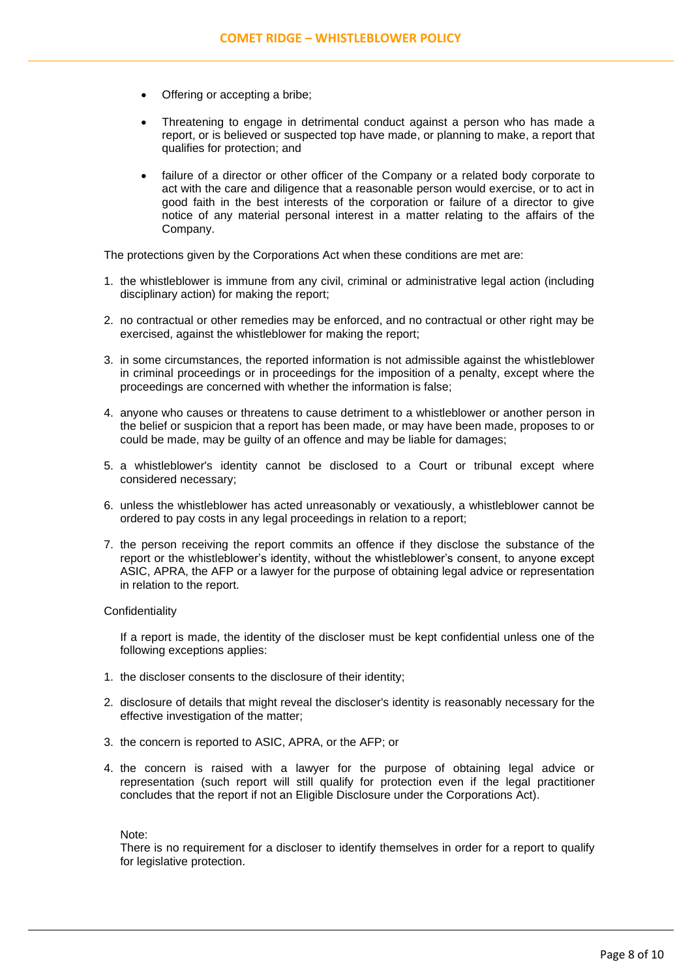- Offering or accepting a bribe;
- Threatening to engage in detrimental conduct against a person who has made a report, or is believed or suspected top have made, or planning to make, a report that qualifies for protection; and
- failure of a director or other officer of the Company or a related body corporate to act with the care and diligence that a reasonable person would exercise, or to act in good faith in the best interests of the corporation or failure of a director to give notice of any material personal interest in a matter relating to the affairs of the Company.

The protections given by the Corporations Act when these conditions are met are:

- 1. the whistleblower is immune from any civil, criminal or administrative legal action (including disciplinary action) for making the report;
- 2. no contractual or other remedies may be enforced, and no contractual or other right may be exercised, against the whistleblower for making the report;
- 3. in some circumstances, the reported information is not admissible against the whistleblower in criminal proceedings or in proceedings for the imposition of a penalty, except where the proceedings are concerned with whether the information is false;
- 4. anyone who causes or threatens to cause detriment to a whistleblower or another person in the belief or suspicion that a report has been made, or may have been made, proposes to or could be made, may be guilty of an offence and may be liable for damages;
- 5. a whistleblower's identity cannot be disclosed to a Court or tribunal except where considered necessary;
- 6. unless the whistleblower has acted unreasonably or vexatiously, a whistleblower cannot be ordered to pay costs in any legal proceedings in relation to a report;
- 7. the person receiving the report commits an offence if they disclose the substance of the report or the whistleblower's identity, without the whistleblower's consent, to anyone except ASIC, APRA, the AFP or a lawyer for the purpose of obtaining legal advice or representation in relation to the report.

#### **Confidentiality**

If a report is made, the identity of the discloser must be kept confidential unless one of the following exceptions applies:

- 1. the discloser consents to the disclosure of their identity;
- 2. disclosure of details that might reveal the discloser's identity is reasonably necessary for the effective investigation of the matter;
- 3. the concern is reported to ASIC, APRA, or the AFP; or
- 4. the concern is raised with a lawyer for the purpose of obtaining legal advice or representation (such report will still qualify for protection even if the legal practitioner concludes that the report if not an Eligible Disclosure under the Corporations Act).

Note:

There is no requirement for a discloser to identify themselves in order for a report to qualify for legislative protection.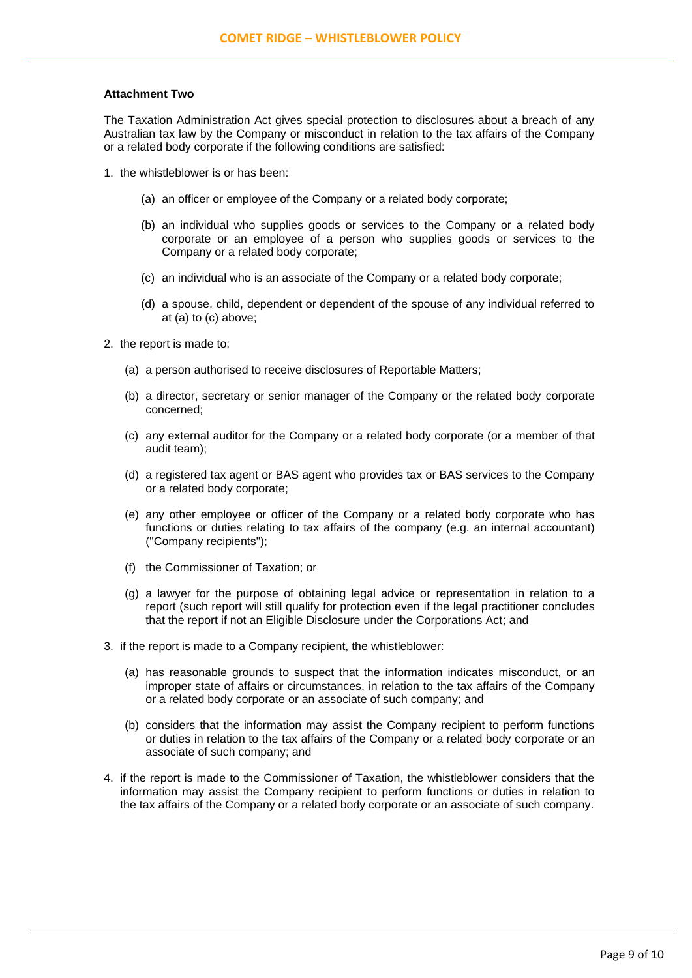## **Attachment Two**

The Taxation Administration Act gives special protection to disclosures about a breach of any Australian tax law by the Company or misconduct in relation to the tax affairs of the Company or a related body corporate if the following conditions are satisfied:

- 1. the whistleblower is or has been:
	- (a) an officer or employee of the Company or a related body corporate;
	- (b) an individual who supplies goods or services to the Company or a related body corporate or an employee of a person who supplies goods or services to the Company or a related body corporate;
	- (c) an individual who is an associate of the Company or a related body corporate;
	- (d) a spouse, child, dependent or dependent of the spouse of any individual referred to at (a) to (c) above;
- 2. the report is made to:
	- (a) a person authorised to receive disclosures of Reportable Matters;
	- (b) a director, secretary or senior manager of the Company or the related body corporate concerned;
	- (c) any external auditor for the Company or a related body corporate (or a member of that audit team);
	- (d) a registered tax agent or BAS agent who provides tax or BAS services to the Company or a related body corporate;
	- (e) any other employee or officer of the Company or a related body corporate who has functions or duties relating to tax affairs of the company (e.g. an internal accountant) ("Company recipients");
	- (f) the Commissioner of Taxation; or
	- (g) a lawyer for the purpose of obtaining legal advice or representation in relation to a report (such report will still qualify for protection even if the legal practitioner concludes that the report if not an Eligible Disclosure under the Corporations Act; and
- 3. if the report is made to a Company recipient, the whistleblower:
	- (a) has reasonable grounds to suspect that the information indicates misconduct, or an improper state of affairs or circumstances, in relation to the tax affairs of the Company or a related body corporate or an associate of such company; and
	- (b) considers that the information may assist the Company recipient to perform functions or duties in relation to the tax affairs of the Company or a related body corporate or an associate of such company; and
- 4. if the report is made to the Commissioner of Taxation, the whistleblower considers that the information may assist the Company recipient to perform functions or duties in relation to the tax affairs of the Company or a related body corporate or an associate of such company.